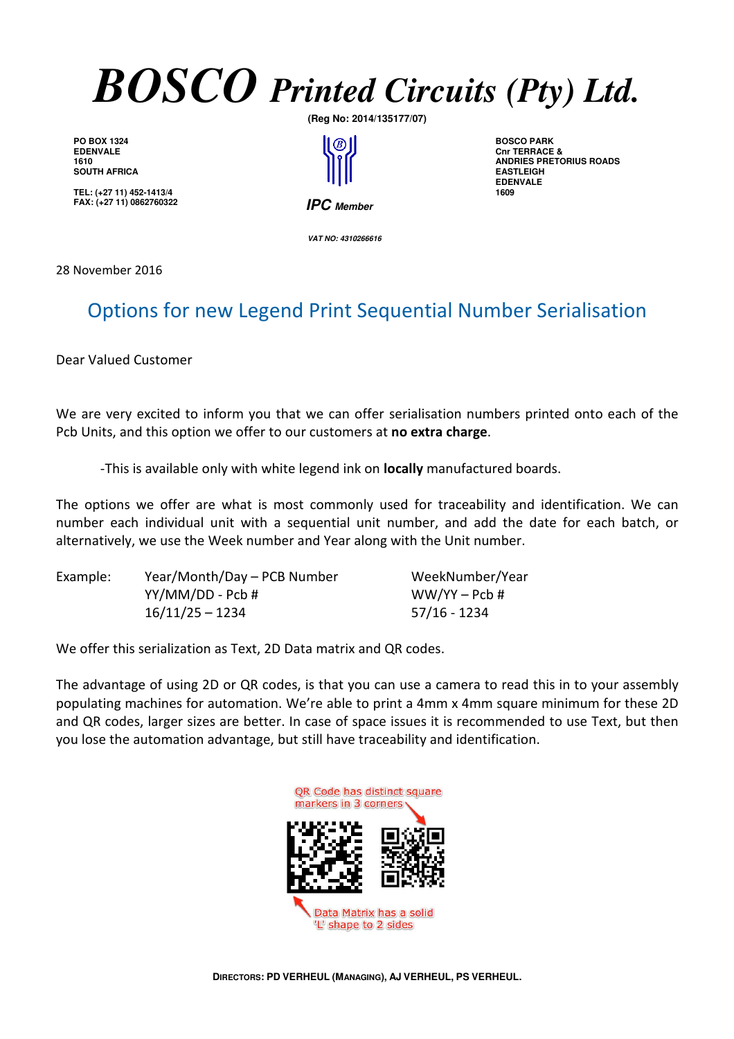

**PO BOX 1324 EDENVALE 1610 SOUTH AFRICA** 

**TEL: (+27 11) 452-1413/4 FAX: (+27 11) 0862760322** **(Reg No: 2014/135177/07)** 

<sup>(B)</sup>  **IPC Member**

**BOSCO PARK Cnr TERRACE & ANDRIES PRETORIUS ROADS EASTLEIGH EDENVALE 1609**

 **VAT NO: 4310266616** 

28 November 2016

## Options for new Legend Print Sequential Number Serialisation

Dear Valued Customer

We are very excited to inform you that we can offer serialisation numbers printed onto each of the Pcb Units, and this option we offer to our customers at **no extra charge**.

-This is available only with white legend ink on **locally** manufactured boards.

The options we offer are what is most commonly used for traceability and identification. We can number each individual unit with a sequential unit number, and add the date for each batch, or alternatively, we use the Week number and Year along with the Unit number.

| Example: | Year/Month/Day - PCB Number | WeekNumber/Year |
|----------|-----------------------------|-----------------|
|          | YY/MM/DD - Pcb #            | $WW/YY - Pcb #$ |
|          | $16/11/25 - 1234$           | 57/16 - 1234    |

We offer this serialization as Text, 2D Data matrix and QR codes.

The advantage of using 2D or QR codes, is that you can use a camera to read this in to your assembly populating machines for automation. We're able to print a 4mm x 4mm square minimum for these 2D and QR codes, larger sizes are better. In case of space issues it is recommended to use Text, but then you lose the automation advantage, but still have traceability and identification.